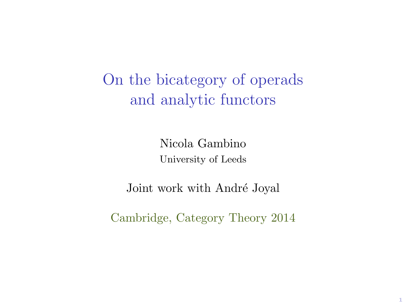On the bicategory of operads and analytic functors

> Nicola Gambino University of Leeds

Joint work with André Joyal

Cambridge, Category Theory 2014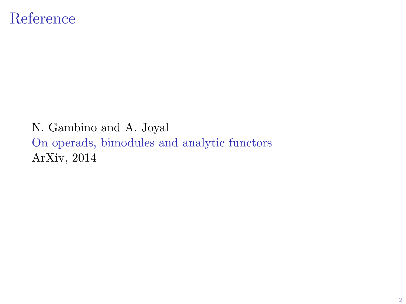## Reference

#### N. Gambino and A. Joyal On operads, bimodules and analytic functors ArXiv, 2014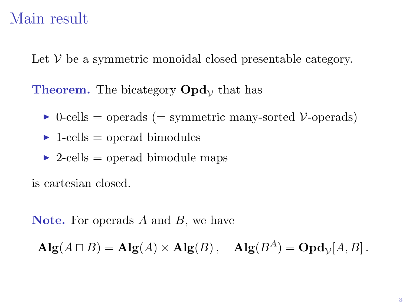## Main result

Let  $V$  be a symmetric monoidal closed presentable category.

**Theorem.** The bicategory  $\text{Opd}_{\mathcal{V}}$  that has

- $\triangleright$  0-cells = operads (= symmetric many-sorted V-operads)
- $\blacktriangleright$  1-cells = operad bimodules
- $\triangleright$  2-cells = operad bimodule maps

is cartesian closed.

**Note.** For operads  $A$  and  $B$ , we have

 $\mathbf{Alg}(A \sqcap B) = \mathbf{Alg}(A) \times \mathbf{Alg}(B)$ ,  $\mathbf{Alg}(B^A) = \mathbf{Opd}_{\mathcal{V}}[A, B]$ .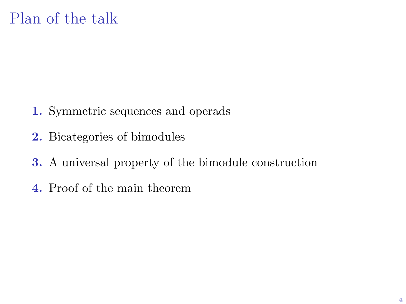- 1. Symmetric sequences and operads
- 2. Bicategories of bimodules
- 3. A universal property of the bimodule construction
- 4. Proof of the main theorem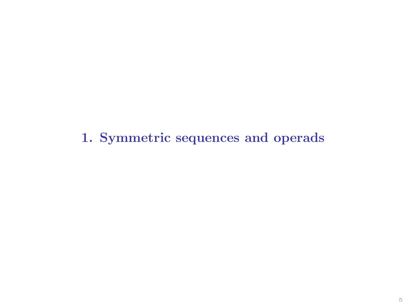1. Symmetric sequences and operads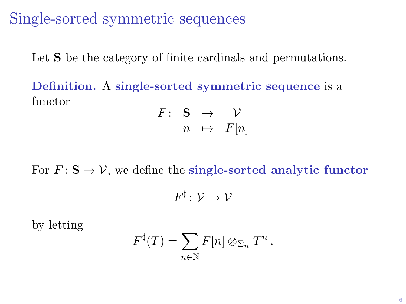Single-sorted symmetric sequences

Let **S** be the category of finite cardinals and permutations.

Definition. A single-sorted symmetric sequence is a functor

$$
\begin{array}{rccc}\nF: & \mathbf{S} & \rightarrow & \mathcal{V} \\
n & \mapsto & F[n]\n\end{array}
$$

For  $F: \mathbf{S} \to \mathcal{V}$ , we define the single-sorted analytic functor

$$
F^\sharp\colon \mathcal{V}\to \mathcal{V}
$$

by letting

$$
F^{\sharp}(T) = \sum_{n \in \mathbb{N}} F[n] \otimes_{\Sigma_n} T^n.
$$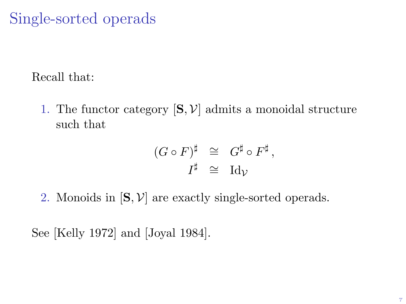# Single-sorted operads

Recall that:

1. The functor category  $[\mathbf{S}, \mathcal{V}]$  admits a monoidal structure such that

$$
\begin{array}{rcl} (G \circ F)^{\sharp} & \cong & G^{\sharp} \circ F^{\sharp} \,, \\ I^{\sharp} & \cong & \mathrm{Id}_{\mathcal{V}} \end{array}
$$

2. Monoids in  $[S, V]$  are exactly single-sorted operads.

See [Kelly 1972] and [Joyal 1984].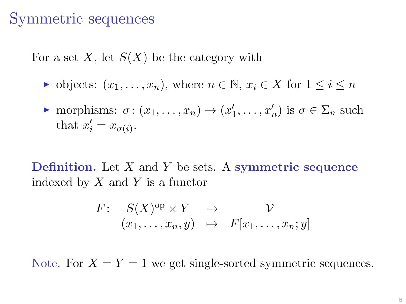## Symmetric sequences

For a set X, let  $S(X)$  be the category with

ightharpoontal objects:  $(x_1, \ldots, x_n)$ , where  $n \in \mathbb{N}$ ,  $x_i \in X$  for  $1 \leq i \leq n$ 

$$
\triangleright \text{ morphisms: } \sigma \colon (x_1, \dots, x_n) \to (x'_1, \dots, x'_n) \text{ is } \sigma \in \Sigma_n \text{ such that } x'_i = x_{\sigma(i)}.
$$

**Definition.** Let  $X$  and  $Y$  be sets. A symmetric sequence indexed by  $X$  and  $Y$  is a functor

$$
F: S(X)^{\text{op}} \times Y \rightarrow \mathcal{V}
$$
  

$$
(x_1, \ldots, x_n, y) \mapsto F[x_1, \ldots, x_n; y]
$$

Note. For  $X = Y = 1$  we get single-sorted symmetric sequences.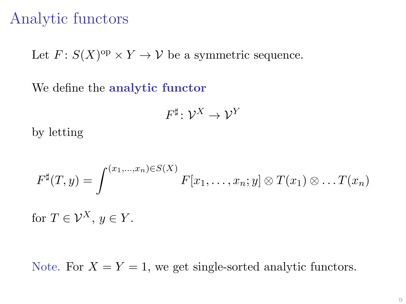## Analytic functors

Let  $F: S(X)^{op} \times Y \to V$  be a symmetric sequence.

We define the **analytic functor** 

$$
F^\sharp\colon \mathcal{V}^X\to \mathcal{V}^Y
$$

by letting

$$
F^{\sharp}(T,y)=\int^{(x_1,...,x_n)\in S(X)} F[x_1,...,x_n; y]\otimes T(x_1)\otimes ... T(x_n)
$$

for  $T \in \mathcal{V}^X$ ,  $y \in Y$ .

Note. For  $X = Y = 1$ , we get single-sorted analytic functors.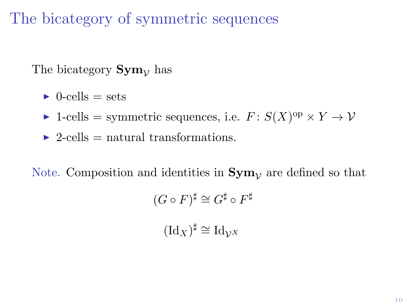The bicategory of symmetric sequences

The bicategory  $\text{Sym}_{\mathcal{V}}$  has

 $\triangleright$  0-cells = sets

- ► 1-cells = symmetric sequences, i.e.  $F: S(X)^{op} \times Y \to V$
- $\triangleright$  2-cells = natural transformations.

Note. Composition and identities in  $Sym_{\mathcal{V}}$  are defined so that

$$
(G \circ F)^{\sharp} \cong G^{\sharp} \circ F^{\sharp}
$$

$$
(\text{Id}_X)^{\sharp} \cong \text{Id}_{\mathcal{V}^X}
$$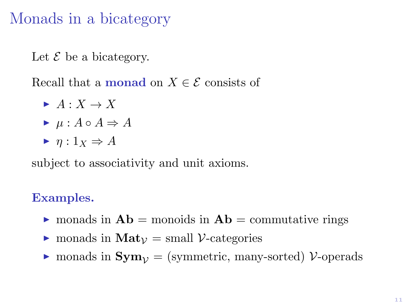# Monads in a bicategory

Let  $\mathcal E$  be a bicategory.

Recall that a **monad** on  $X \in \mathcal{E}$  consists of

- $\blacktriangleright$   $A: X \rightarrow X$  $\blacktriangleright$   $\mu : A \circ A \Rightarrow A$
- $\blacktriangleright$   $n: 1_X \Rightarrow A$

subject to associativity and unit axioms.

#### Examples.

- $\triangleright$  monads in  $\mathbf{Ab} =$  monoids in  $\mathbf{Ab} =$  commutative rings
- $\triangleright$  monads in  $\text{Mat}_{\mathcal{V}} = \text{small } \mathcal{V}\text{-categories}$
- $\triangleright$  monads in  $Sym_{\mathcal{V}} =$  (symmetric, many-sorted) V-operads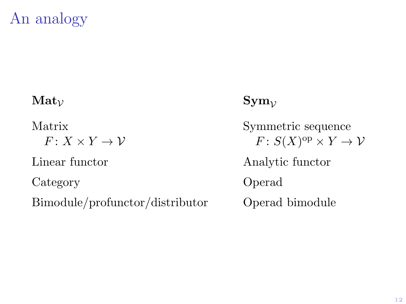# An analogy

#### $\text{Mat}_{\mathcal{V}}$  Sym<sub>v</sub>

 $F: X \times Y \rightarrow V$ 

Category Operad

Bimodule/profunctor/distributor Operad bimodule

Matrix Symmetric sequence  $F: S(X)^{op} \times Y \to V$ Linear functor Analytic functor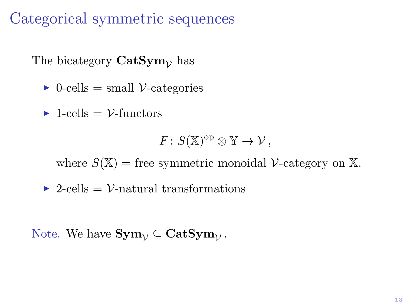## Categorical symmetric sequences

The bicategory  $\text{CatSym}_{\mathcal{V}}$  has

 $\triangleright$  0-cells = small V-categories

 $\blacktriangleright$  1-cells =  $\mathcal{V}\text{-functors}$ 

$$
F\colon S(\mathbb{X})^{\text{op}}\otimes \mathbb{Y}\to \mathcal{V}\,,
$$

where  $S(\mathbb{X})$  = free symmetric monoidal V-category on  $\mathbb{X}$ .

 $\triangleright$  2-cells = V-natural transformations

Note. We have  $\textbf{Sym}_{\mathcal{V}} \subseteq \textbf{CatSym}_{\mathcal{V}}$  .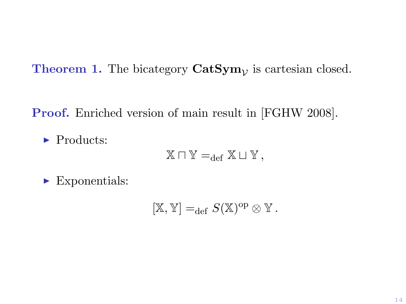**Theorem 1.** The bicategory  $CatSym<sub>V</sub>$  is cartesian closed.

Proof. Enriched version of main result in [FGHW 2008].

 $\blacktriangleright$  Products:

 $X \sqcap Y =_{def} X \sqcup Y$ ,

 $\blacktriangleright$  Exponentials:

 $[\mathbb{X}, \mathbb{Y}] =_{\text{def}} S(\mathbb{X})^{\text{op}} \otimes \mathbb{Y}.$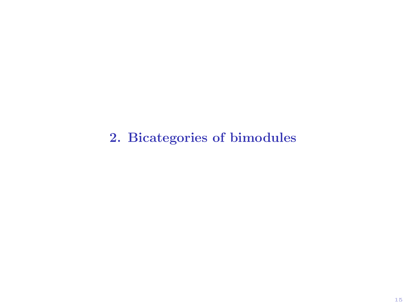2. Bicategories of bimodules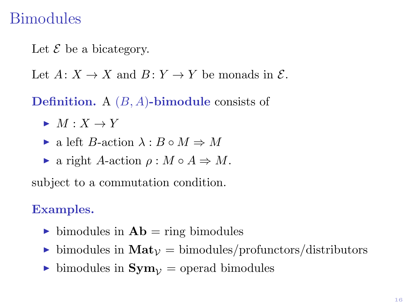## Bimodules

Let  $\mathcal E$  be a bicategory.

Let  $A: X \to X$  and  $B: Y \to Y$  be monads in  $\mathcal{E}$ .

**Definition.** A  $(B, A)$ -bimodule consists of

- $\blacktriangleright M : X \to Y$
- $\triangleright$  a left *B*-action  $\lambda : B \circ M \Rightarrow M$
- ight A-action  $\rho : M \circ A \Rightarrow M$ .

subject to a commutation condition.

#### Examples.

- ightharpoontring bimodules in  $\mathbf{Ab} = \text{ring of } \text{bimodules}$
- ighthrow bimodules in  $\text{Mat}_{\mathcal{V}} = \text{bimodules/profunctions/distributions}$
- ighthroaphologies in  $\mathbf{Sym}_{\mathcal{V}} = \text{operad bimodules}$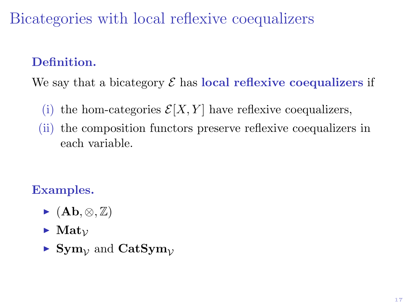Bicategories with local reflexive coequalizers

#### Definition.

We say that a bicategory  $\mathcal E$  has local reflexive coequalizers if

- (i) the hom-categories  $\mathcal{E}[X, Y]$  have reflexive coequalizers,
- (ii) the composition functors preserve reflexive coequalizers in each variable.

## Examples.

- $\blacktriangleright$  (Ab,  $\otimes$ , Z)
- $\blacktriangleright$  Mat<sub> $\nu$ </sub>
- $\triangleright$  Sym<sub>1</sub>, and CatSym<sub>1</sub>,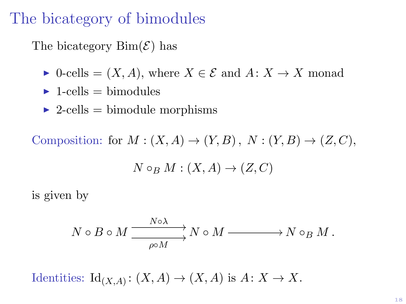## The bicategory of bimodules

The bicategory  $\text{Bim}(\mathcal{E})$  has

- $\triangleright$  0-cells =  $(X, A)$ , where  $X \in \mathcal{E}$  and  $A: X \to X$  monad
- $\blacktriangleright$  1-cells = bimodules
- $\triangleright$  2-cells = bimodule morphisms

Composition: for  $M : (X, A) \to (Y, B)$ ,  $N : (Y, B) \to (Z, C)$ .

 $N \circ_B M : (X, A) \to (Z, C)$ 

is given by

$$
N \circ B \circ M \xrightarrow{\qquad N \circ \lambda} N \circ M \xrightarrow{\qquad} N \circ_B M.
$$

Identities:  $\mathrm{Id}_{(X,A)}: (X,A) \to (X,A)$  is  $A: X \to X$ .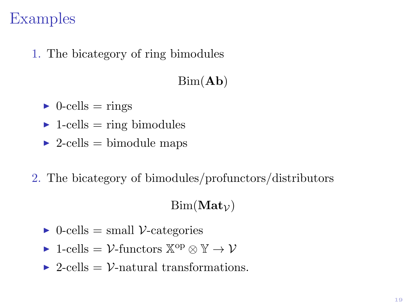## Examples

1. The bicategory of ring bimodules

## $Bim(Ab)$

- $\triangleright$  0-cells = rings
- $\blacktriangleright$  1-cells = ring bimodules
- $\triangleright$  2-cells = bimodule maps
- 2. The bicategory of bimodules/profunctors/distributors

#### $Bim(Mat_{\mathcal{V}})$

- $\triangleright$  0-cells = small V-categories
- ► 1-cells =  $\mathcal{V}$ -functors  $\mathbb{X}^{\text{op}} \otimes \mathbb{Y} \to \mathcal{V}$
- $\triangleright$  2-cells = V-natural transformations.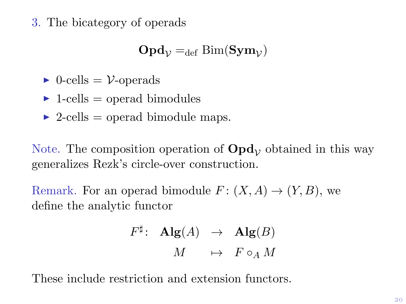3. The bicategory of operads

$$
\mathbf{Opd}_{\mathcal{V}}=_{\mathrm{def}}\mathrm{Bim}(\mathbf{Sym}_{\mathcal{V}})
$$

- $\triangleright$  0-cells =  $\mathcal{V}\text{-operads}$
- $\blacktriangleright$  1-cells = operad bimodules
- $\triangleright$  2-cells = operad bimodule maps.

Note. The composition operation of  $\text{Opd}_v$  obtained in this way generalizes Rezk's circle-over construction.

Remark. For an operad bimodule  $F: (X, A) \to (Y, B)$ , we define the analytic functor

$$
F^{\sharp} : \text{ Alg}(A) \rightarrow \text{Alg}(B)
$$

$$
M \mapsto F \circ_A M
$$

These include restriction and extension functors.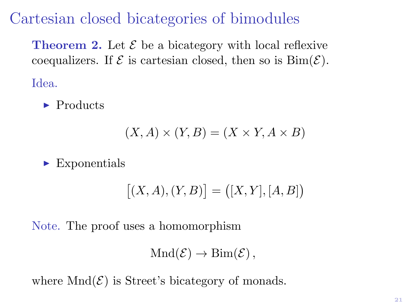Cartesian closed bicategories of bimodules

**Theorem 2.** Let  $\mathcal{E}$  be a bicategory with local reflexive coequalizers. If  $\mathcal E$  is cartesian closed, then so is  $\text{Bim}(\mathcal E)$ . Idea.

 $\blacktriangleright$  Products

$$
(X, A) \times (Y, B) = (X \times Y, A \times B)
$$

 $\blacktriangleright$  Exponentials

$$
[(X,A),(Y,B)] = ([X,Y],[A,B])
$$

Note. The proof uses a homomorphism

$$
Mnd(\mathcal{E}) \to \text{Bim}(\mathcal{E}),
$$

where  $Mnd(\mathcal{E})$  is Street's bicategory of monads.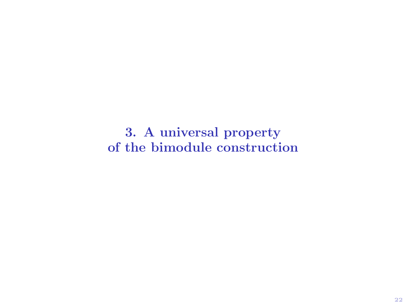3. A universal property of the bimodule construction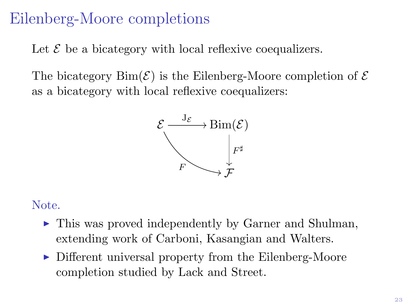# Eilenberg-Moore completions

Let  $\mathcal E$  be a bicategory with local reflexive coequalizers.

The bicategory  $\text{Bim}(\mathcal{E})$  is the Eilenberg-Moore completion of  $\mathcal E$ as a bicategory with local reflexive coequalizers:



#### Note.

- $\triangleright$  This was proved independently by Garner and Shulman, extending work of Carboni, Kasangian and Walters.
- $\triangleright$  Different universal property from the Eilenberg-Moore completion studied by Lack and Street.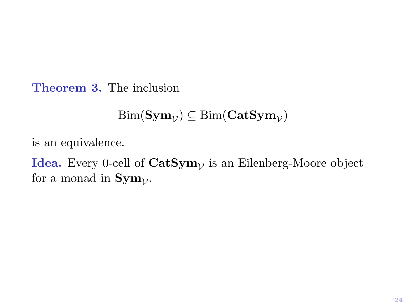Theorem 3. The inclusion

 $\operatorname{Bim}(\operatorname{\mathbf{Sym}}_\mathcal{V})\subseteq\operatorname{Bim}(\operatorname{\mathbf{Cat}}\operatorname{\mathbf{Sym}}_\mathcal{V})$ 

is an equivalence.

**Idea.** Every 0-cell of  $\mathbf{CatSym}_{\mathcal{V}}$  is an Eilenberg-Moore object for a monad in  $\text{Sym}_{\mathcal{V}}$ .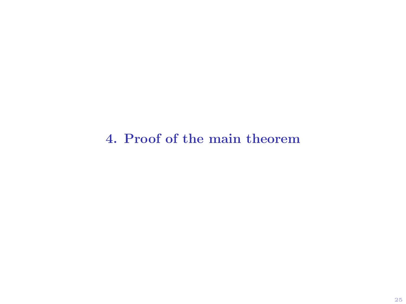4. Proof of the main theorem